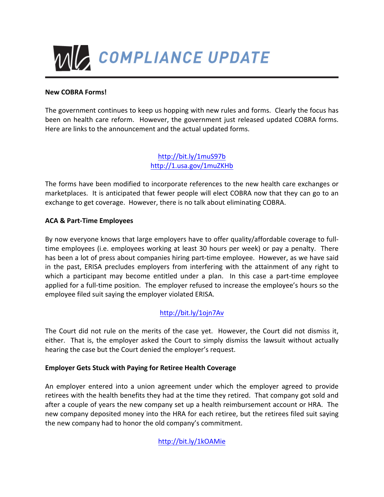

### **New COBRA Forms!**

The government continues to keep us hopping with new rules and forms. Clearly the focus has been on health care reform. However, the government just released updated COBRA forms. Here are links to the announcement and the actual updated forms.

> http://bit.ly/1muS97b http://1.usa.gov/1muZKHb

The forms have been modified to incorporate references to the new health care exchanges or marketplaces. It is anticipated that fewer people will elect COBRA now that they can go to an exchange to get coverage. However, there is no talk about eliminating COBRA.

### **ACA & Part-Time Employees**

By now everyone knows that large employers have to offer quality/affordable coverage to fulltime employees (i.e. employees working at least 30 hours per week) or pay a penalty. There has been a lot of press about companies hiring part-time employee. However, as we have said in the past, ERISA precludes employers from interfering with the attainment of any right to which a participant may become entitled under a plan. In this case a part-time employee applied for a full-time position. The employer refused to increase the employee's hours so the employee filed suit saying the employer violated ERISA.

## http://bit.ly/1ojn7Av

The Court did not rule on the merits of the case yet. However, the Court did not dismiss it, either. That is, the employer asked the Court to simply dismiss the lawsuit without actually hearing the case but the Court denied the employer's request.

### **Employer Gets Stuck with Paying for Retiree Health Coverage**

An employer entered into a union agreement under which the employer agreed to provide retirees with the health benefits they had at the time they retired. That company got sold and after a couple of years the new company set up a health reimbursement account or HRA. The new company deposited money into the HRA for each retiree, but the retirees filed suit saying the new company had to honor the old company's commitment.

http://bit.ly/1kOAMie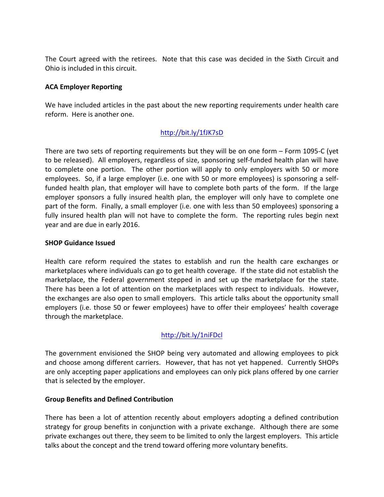The Court agreed with the retirees. Note that this case was decided in the Sixth Circuit and Ohio is included in this circuit.

### **ACA Employer Reporting**

We have included articles in the past about the new reporting requirements under health care reform. Here is another one.

## http://bit.ly/1fJK7sD

There are two sets of reporting requirements but they will be on one form  $-$  Form 1095-C (yet to be released). All employers, regardless of size, sponsoring self-funded health plan will have to complete one portion. The other portion will apply to only employers with 50 or more employees. So, if a large employer (i.e. one with 50 or more employees) is sponsoring a selffunded health plan, that employer will have to complete both parts of the form. If the large employer sponsors a fully insured health plan, the employer will only have to complete one part of the form. Finally, a small employer (i.e. one with less than 50 employees) sponsoring a fully insured health plan will not have to complete the form. The reporting rules begin next year and are due in early 2016.

### **SHOP Guidance Issued**

Health care reform required the states to establish and run the health care exchanges or marketplaces where individuals can go to get health coverage. If the state did not establish the marketplace, the Federal government stepped in and set up the marketplace for the state. There has been a lot of attention on the marketplaces with respect to individuals. However, the exchanges are also open to small employers. This article talks about the opportunity small employers (i.e. those 50 or fewer employees) have to offer their employees' health coverage through the marketplace.

# http://bit.ly/1niFDcl

The government envisioned the SHOP being very automated and allowing employees to pick and choose among different carriers. However, that has not yet happened. Currently SHOPs are only accepting paper applications and employees can only pick plans offered by one carrier that is selected by the employer.

### **Group Benefits and Defined Contribution**

There has been a lot of attention recently about employers adopting a defined contribution strategy for group benefits in conjunction with a private exchange. Although there are some private exchanges out there, they seem to be limited to only the largest employers. This article talks about the concept and the trend toward offering more voluntary benefits.